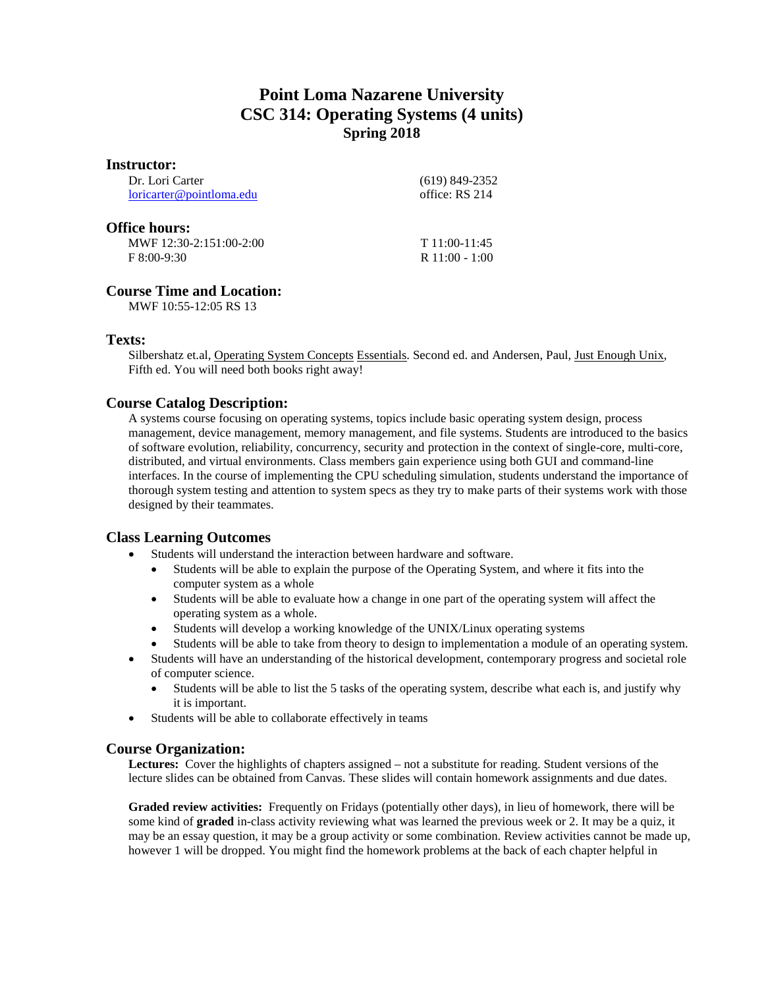# **Point Loma Nazarene University CSC 314: Operating Systems (4 units) Spring 2018**

| <b>Instructor:</b>       |                  |
|--------------------------|------------------|
| Dr. Lori Carter          | $(619)$ 849-2352 |
| loricarter@pointloma.edu | office: RS 214   |
| <b>Office hours:</b>     |                  |
| MWF 12:30-2:151:00-2:00  | $T11:00-11:45$   |
| $F 8:00-9:30$            | $R$ 11:00 - 1:00 |
| $\sim$<br>               |                  |

# **Course Time and Location:**

MWF 10:55-12:05 RS 13

# **Texts:**

Silbershatz et.al, Operating System Concepts Essentials. Second ed. and Andersen, Paul, Just Enough Unix, Fifth ed. You will need both books right away!

# **Course Catalog Description:**

A systems course focusing on operating systems, topics include basic operating system design, process management, device management, memory management, and file systems. Students are introduced to the basics of software evolution, reliability, concurrency, security and protection in the context of single-core, multi-core, distributed, and virtual environments. Class members gain experience using both GUI and command-line interfaces. In the course of implementing the CPU scheduling simulation, students understand the importance of thorough system testing and attention to system specs as they try to make parts of their systems work with those designed by their teammates.

# **Class Learning Outcomes**

- Students will understand the interaction between hardware and software.
	- Students will be able to explain the purpose of the Operating System, and where it fits into the computer system as a whole
	- Students will be able to evaluate how a change in one part of the operating system will affect the operating system as a whole.
	- Students will develop a working knowledge of the UNIX/Linux operating systems
	- Students will be able to take from theory to design to implementation a module of an operating system.
- Students will have an understanding of the historical development, contemporary progress and societal role of computer science.
	- Students will be able to list the 5 tasks of the operating system, describe what each is, and justify why it is important.
- Students will be able to collaborate effectively in teams

# **Course Organization:**

**Lectures:** Cover the highlights of chapters assigned – not a substitute for reading. Student versions of the lecture slides can be obtained from Canvas. These slides will contain homework assignments and due dates.

**Graded review activities:** Frequently on Fridays (potentially other days), in lieu of homework, there will be some kind of **graded** in-class activity reviewing what was learned the previous week or 2. It may be a quiz, it may be an essay question, it may be a group activity or some combination. Review activities cannot be made up, however 1 will be dropped. You might find the homework problems at the back of each chapter helpful in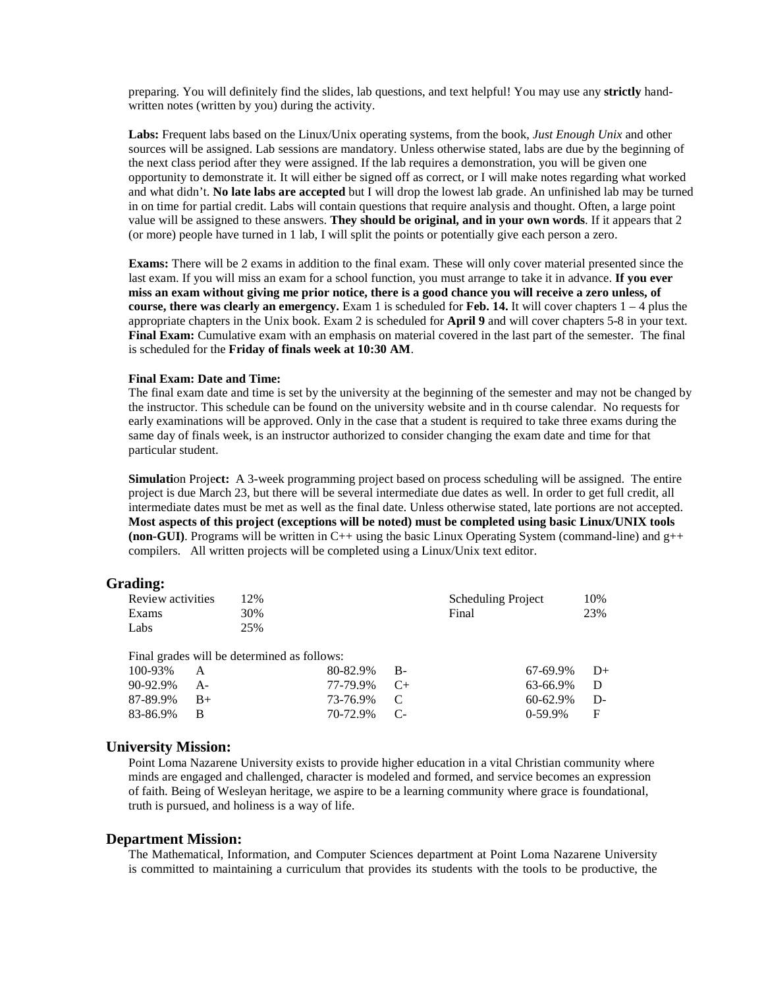preparing. You will definitely find the slides, lab questions, and text helpful! You may use any **strictly** handwritten notes (written by you) during the activity.

**Labs:** Frequent labs based on the Linux/Unix operating systems, from the book, *Just Enough Unix* and other sources will be assigned. Lab sessions are mandatory. Unless otherwise stated, labs are due by the beginning of the next class period after they were assigned. If the lab requires a demonstration, you will be given one opportunity to demonstrate it. It will either be signed off as correct, or I will make notes regarding what worked and what didn't. **No late labs are accepted** but I will drop the lowest lab grade. An unfinished lab may be turned in on time for partial credit. Labs will contain questions that require analysis and thought. Often, a large point value will be assigned to these answers. **They should be original, and in your own words**. If it appears that 2 (or more) people have turned in 1 lab, I will split the points or potentially give each person a zero.

**Exams:** There will be 2 exams in addition to the final exam. These will only cover material presented since the last exam. If you will miss an exam for a school function, you must arrange to take it in advance. **If you ever miss an exam without giving me prior notice, there is a good chance you will receive a zero unless, of course, there was clearly an emergency.** Exam 1 is scheduled for **Feb. 14.** It will cover chapters 1 – 4 plus the appropriate chapters in the Unix book. Exam 2 is scheduled for **April 9** and will cover chapters 5-8 in your text. **Final Exam:** Cumulative exam with an emphasis on material covered in the last part of the semester. The final is scheduled for the **Friday of finals week at 10:30 AM**.

#### **Final Exam: Date and Time:**

The final exam date and time is set by the university at the beginning of the semester and may not be changed by the instructor. This schedule can be found on the university website and in th course calendar. No requests for early examinations will be approved. Only in the case that a student is required to take three exams during the same day of finals week, is an instructor authorized to consider changing the exam date and time for that particular student.

**Simulation Project:** A 3-week programming project based on process scheduling will be assigned. The entire project is due March 23, but there will be several intermediate due dates as well. In order to get full credit, all intermediate dates must be met as well as the final date. Unless otherwise stated, late portions are not accepted. **Most aspects of this project (exceptions will be noted) must be completed using basic Linux/UNIX tools**  (**non-GUI**). Programs will be written in  $C++$  using the basic Linux Operating System (command-line) and  $g++$ compilers.All written projects will be completed using a Linux/Unix text editor.

## **Grading:**

| Review activities | 12%                                         |          |    | <b>Scheduling Project</b> | 10%              |
|-------------------|---------------------------------------------|----------|----|---------------------------|------------------|
| Exams             | 30%                                         |          |    | Final                     | 23%              |
| Labs              | 25%                                         |          |    |                           |                  |
|                   |                                             |          |    |                           |                  |
|                   | Final grades will be determined as follows: |          |    |                           |                  |
| 100-93%           |                                             | 80-82.9% | В- |                           | 67-69.9%<br>$D+$ |
| 90-92.9%          |                                             | 77-79.9% |    |                           | 63-66.9%         |

73-76.9% C<br>70-72.9% C-70-72.9%

## **University Mission:**

83-86.9% B

Point Loma Nazarene University exists to provide higher education in a vital Christian community where minds are engaged and challenged, character is modeled and formed, and service becomes an expression of faith. Being of Wesleyan heritage, we aspire to be a learning community where grace is foundational, truth is pursued, and holiness is a way of life.

 $60-62.9\%$  D-<br>0-59.9% F 0-59.9%

## **Department Mission:**

The Mathematical, Information, and Computer Sciences department at Point Loma Nazarene University is committed to maintaining a curriculum that provides its students with the tools to be productive, the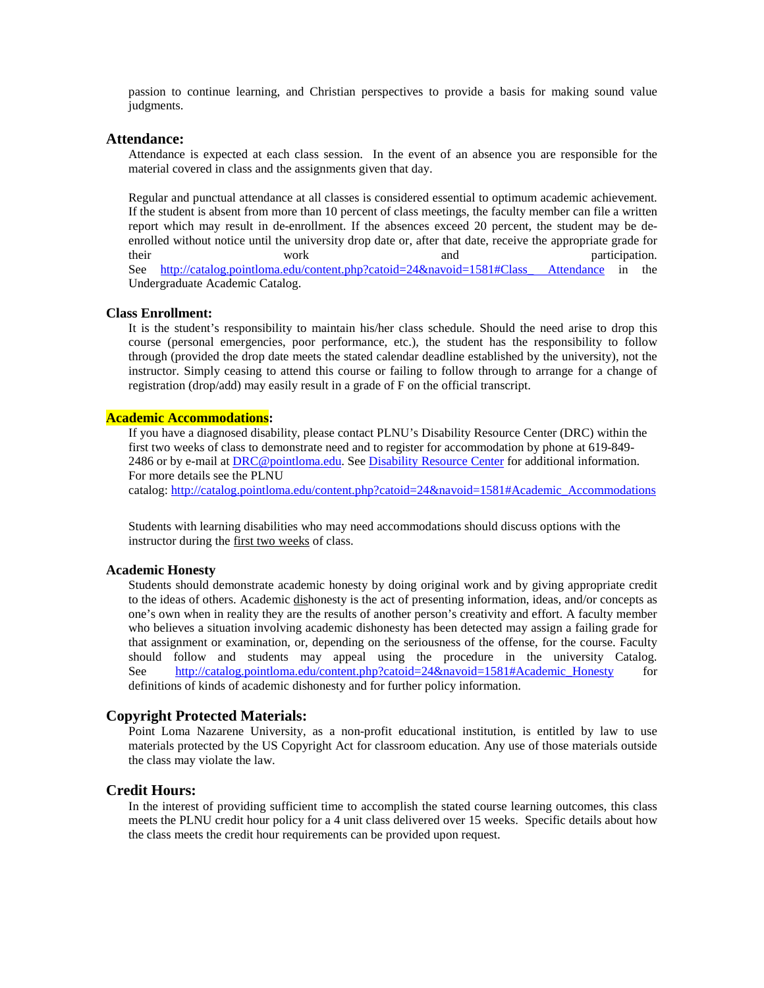passion to continue learning, and Christian perspectives to provide a basis for making sound value judgments.

#### **Attendance:**

Attendance is expected at each class session. In the event of an absence you are responsible for the material covered in class and the assignments given that day.

Regular and punctual attendance at all classes is considered essential to optimum academic achievement. If the student is absent from more than 10 percent of class meetings, the faculty member can file a written report which may result in de-enrollment. If the absences exceed 20 percent, the student may be deenrolled without notice until the university drop date or, after that date, receive the appropriate grade for their work and participation. See http://catalog.pointloma.edu/content.php?catoid=24&navoid=1581#Class Attendance in the Undergraduate Academic Catalog.

#### **Class Enrollment:**

It is the student's responsibility to maintain his/her class schedule. Should the need arise to drop this course (personal emergencies, poor performance, etc.), the student has the responsibility to follow through (provided the drop date meets the stated calendar deadline established by the university), not the instructor. Simply ceasing to attend this course or failing to follow through to arrange for a change of registration (drop/add) may easily result in a grade of F on the official transcript.

## **Academic Accommodations:**

If you have a diagnosed disability, please contact PLNU's Disability Resource Center (DRC) within the first two weeks of class to demonstrate need and to register for accommodation by phone at 619-849- 2486 or by e-mail a[t DRC@pointloma.edu.](mailto:DRC@pointloma.edu) See [Disability Resource Center](http://www.pointloma.edu/experience/offices/administrative-offices/academic-advising-office/disability-resource-center) for additional information. For more details see the PLNU

catalog: [http://catalog.pointloma.edu/content.php?catoid=24&navoid=1581#Academic\\_Accommodations](http://catalog.pointloma.edu/content.php?catoid=24&navoid=1581#Academic_Accommodations) 

Students with learning disabilities who may need accommodations should discuss options with the instructor during the first two weeks of class.

## **Academic Honesty**

Students should demonstrate academic honesty by doing original work and by giving appropriate credit to the ideas of others. Academic dishonesty is the act of presenting information, ideas, and/or concepts as one's own when in reality they are the results of another person's creativity and effort. A faculty member who believes a situation involving academic dishonesty has been detected may assign a failing grade for that assignment or examination, or, depending on the seriousness of the offense, for the course. Faculty should follow and students may appeal using the procedure in the university Catalog. See [http://catalog.pointloma.edu/content.php?catoid=24&navoid=1581#Academic\\_Honesty](http://catalog.pointloma.edu/content.php?catoid=24&navoid=1581#Academic_Honesty) for definitions of kinds of academic dishonesty and for further policy information.

## **Copyright Protected Materials:**

Point Loma Nazarene University, as a non-profit educational institution, is entitled by law to use materials protected by the US Copyright Act for classroom education. Any use of those materials outside the class may violate the law.

## **Credit Hours:**

In the interest of providing sufficient time to accomplish the stated course learning outcomes, this class meets the PLNU credit hour policy for a 4 unit class delivered over 15 weeks. Specific details about how the class meets the credit hour requirements can be provided upon request.